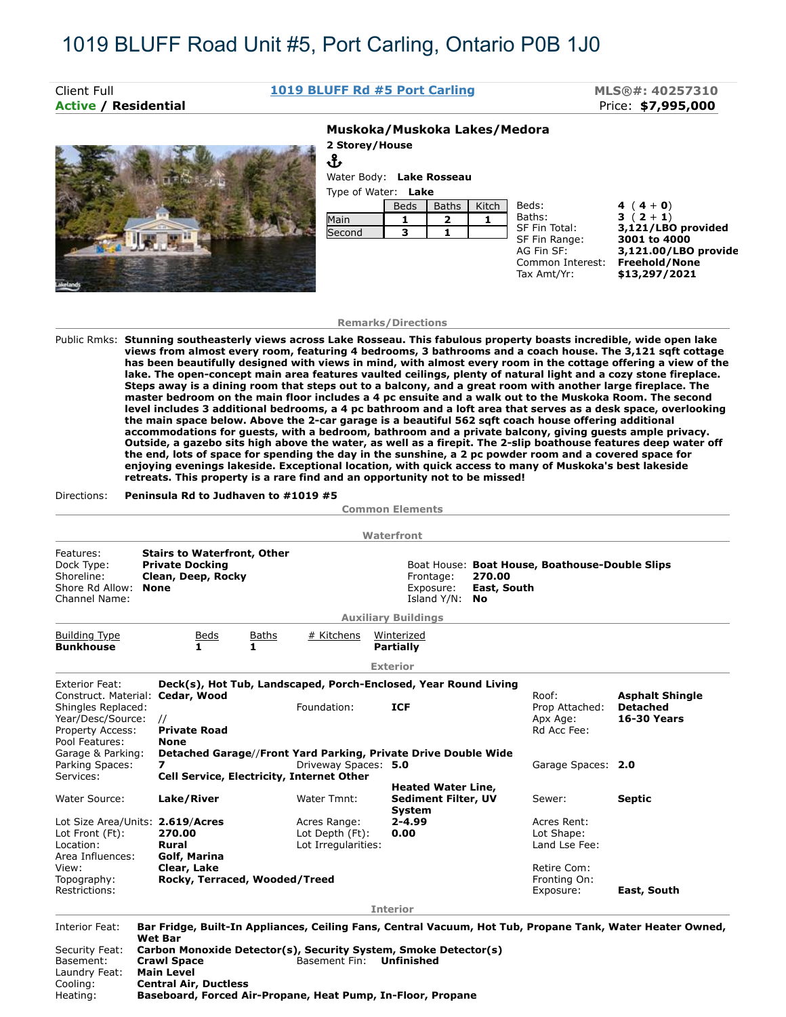Ֆ

# **Active / Residential** Price: **\$7,995,000**

# Client Full **1019 BLUFF Rd #5 Port Carling MLS®#: 40257310**



## **Muskoka/Muskoka Lakes/Medora**

**2 Storey/House**

Water Body: **Lake Rosseau** Type of Water: **Lake**

| Type of Water. Lake |             |              |       |                  |                      |
|---------------------|-------------|--------------|-------|------------------|----------------------|
|                     | <b>Beds</b> | <b>Baths</b> | Kitch | Beds:            | 4 $(4+0)$            |
| Main                |             | 2            |       | Baths:           | $3(2+1)$             |
| Second              | з           |              |       | SF Fin Total:    | 3,121/LBO provided   |
|                     |             |              |       | SF Fin Range:    | 3001 to 4000         |
|                     |             |              |       | AG Fin SF:       | 3,121.00/LBO provide |
|                     |             |              |       | Common Interest: | Freehold/None        |
|                     |             |              |       | Tax Amt/Yr:      | \$13,297/2021        |
|                     |             |              |       |                  |                      |

### **Remarks/Directions**

Public Rmks: **Stunning southeasterly views across Lake Rosseau. This fabulous property boasts incredible, wide open lake views from almost every room, featuring 4 bedrooms, 3 bathrooms and a coach house. The 3,121 sqft cottage has been beautifully designed with views in mind, with almost every room in the cottage offering a view of the lake. The open-concept main area features vaulted ceilings, plenty of natural light and a cozy stone fireplace. Steps away is a dining room that steps out to a balcony, and a great room with another large fireplace. The master bedroom on the main floor includes a 4 pc ensuite and a walk out to the Muskoka Room. The second level includes 3 additional bedrooms, a 4 pc bathroom and a loft area that serves as a desk space, overlooking the main space below. Above the 2-car garage is a beautiful 562 sqft coach house offering additional accommodations for guests, with a bedroom, bathroom and a private balcony, giving guests ample privacy. Outside, a gazebo sits high above the water, as well as a firepit. The 2-slip boathouse features deep water off the end, lots of space for spending the day in the sunshine, a 2 pc powder room and a covered space for enjoying evenings lakeside. Exceptional location, with quick access to many of Muskoka's best lakeside retreats. This property is a rare find and an opportunity not to be missed!**

### Directions: **Peninsula Rd to Judhaven to #1019 #5**

Heating: **Baseboard, Forced Air-Propane, Heat Pump, In-Floor, Propane**

|                                                                                                                                            |                                                                                                                                                                                                                                                     |                                                                                                                     | <b>Common Elements</b>                                                        |                                                           |                                                                 |  |  |
|--------------------------------------------------------------------------------------------------------------------------------------------|-----------------------------------------------------------------------------------------------------------------------------------------------------------------------------------------------------------------------------------------------------|---------------------------------------------------------------------------------------------------------------------|-------------------------------------------------------------------------------|-----------------------------------------------------------|-----------------------------------------------------------------|--|--|
|                                                                                                                                            |                                                                                                                                                                                                                                                     |                                                                                                                     | Waterfront                                                                    |                                                           |                                                                 |  |  |
| Features:<br>Dock Type:<br>Shoreline:<br>Shore Rd Allow:<br>Channel Name:                                                                  | <b>Stairs to Waterfront, Other</b><br><b>Private Docking</b><br>Clean, Deep, Rocky<br><b>None</b>                                                                                                                                                   | Boat House: Boat House, Boathouse-Double Slips<br>Frontage:<br>270.00<br>Exposure:<br>East, South<br>Island Y/N: No |                                                                               |                                                           |                                                                 |  |  |
| <b>Building Type</b><br><b>Bunkhouse</b>                                                                                                   | <b>Baths</b><br><u>Beds</u><br>1.<br>1                                                                                                                                                                                                              | # Kitchens                                                                                                          | <b>Auxiliary Buildings</b><br>Winterized<br><b>Partially</b>                  |                                                           |                                                                 |  |  |
|                                                                                                                                            |                                                                                                                                                                                                                                                     |                                                                                                                     | <b>Exterior</b>                                                               |                                                           |                                                                 |  |  |
| <b>Exterior Feat:</b><br>Construct. Material: Cedar, Wood<br>Shingles Replaced:<br>Year/Desc/Source:<br>Property Access:<br>Pool Features: | $\prime\prime$<br><b>Private Road</b><br>None                                                                                                                                                                                                       | Foundation:                                                                                                         | Deck(s), Hot Tub, Landscaped, Porch-Enclosed, Year Round Living<br><b>ICF</b> | Roof:<br>Prop Attached:<br>Apx Age:<br>Rd Acc Fee:        | <b>Asphalt Shingle</b><br><b>Detached</b><br><b>16-30 Years</b> |  |  |
| Garage & Parking:<br>Parking Spaces:<br>Services:                                                                                          | 7<br>Cell Service, Electricity, Internet Other                                                                                                                                                                                                      | Driveway Spaces: 5.0                                                                                                | Detached Garage//Front Yard Parking, Private Drive Double Wide                | Garage Spaces: 2.0                                        |                                                                 |  |  |
| Water Source:                                                                                                                              | Lake/River                                                                                                                                                                                                                                          | Water Tmnt:                                                                                                         | <b>Heated Water Line,</b><br><b>Sediment Filter, UV</b><br><b>System</b>      | Sewer:                                                    | <b>Septic</b>                                                   |  |  |
| Lot Size Area/Units: 2.619/Acres<br>Lot Front (Ft):<br>Location:<br>Area Influences:<br>View:                                              | 270.00<br><b>Rural</b><br>Golf, Marina<br>Clear, Lake                                                                                                                                                                                               | Acres Range:<br>Lot Depth (Ft):<br>Lot Irregularities:                                                              | $2 - 4.99$<br>0.00                                                            | Acres Rent:<br>Lot Shape:<br>Land Lse Fee:<br>Retire Com: |                                                                 |  |  |
| Topography:<br>Restrictions:                                                                                                               | Rocky, Terraced, Wooded/Treed                                                                                                                                                                                                                       |                                                                                                                     |                                                                               | Fronting On:<br>Exposure:                                 | East, South                                                     |  |  |
|                                                                                                                                            |                                                                                                                                                                                                                                                     |                                                                                                                     | <b>Interior</b>                                                               |                                                           |                                                                 |  |  |
| Interior Feat:<br>Security Feat:<br>Basement:                                                                                              | Bar Fridge, Built-In Appliances, Ceiling Fans, Central Vacuum, Hot Tub, Propane Tank, Water Heater Owned,<br><b>Wet Bar</b><br>Carbon Monoxide Detector(s), Security System, Smoke Detector(s)<br>Basement Fin:<br>Unfinished<br><b>Crawl Space</b> |                                                                                                                     |                                                                               |                                                           |                                                                 |  |  |
| Laundry Feat:<br>Cooling:                                                                                                                  | <b>Main Level</b><br><b>Central Air, Ductless</b>                                                                                                                                                                                                   |                                                                                                                     |                                                                               |                                                           |                                                                 |  |  |